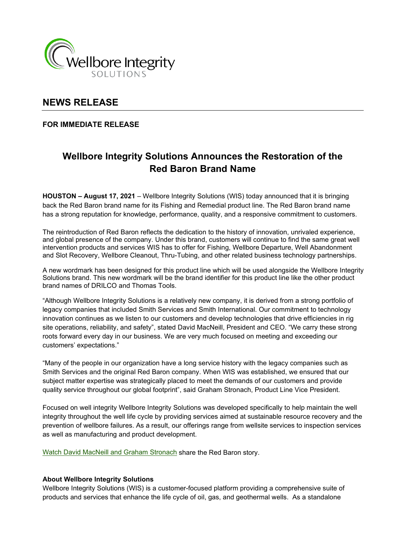

## **NEWS RELEASE**

### **FOR IMMEDIATE RELEASE**

# **Wellbore Integrity Solutions Announces the Restoration of the Red Baron Brand Name**

**HOUSTON – August 17, 2021** – Wellbore Integrity Solutions (WIS) today announced that it is bringing back the Red Baron brand name for its Fishing and Remedial product line. The Red Baron brand name has a strong reputation for knowledge, performance, quality, and a responsive commitment to customers.

The reintroduction of Red Baron reflects the dedication to the history of innovation, unrivaled experience, and global presence of the company. Under this brand, customers will continue to find the same great well intervention products and services WIS has to offer for Fishing, Wellbore Departure, Well Abandonment and Slot Recovery, Wellbore Cleanout, Thru-Tubing, and other related business technology partnerships.

A new wordmark has been designed for this product line which will be used alongside the Wellbore Integrity Solutions brand. This new wordmark will be the brand identifier for this product line like the other product brand names of DRILCO and Thomas Tools.

"Although Wellbore Integrity Solutions is a relatively new company, it is derived from a strong portfolio of legacy companies that included Smith Services and Smith International. Our commitment to technology innovation continues as we listen to our customers and develop technologies that drive efficiencies in rig site operations, reliability, and safety", stated David MacNeill, President and CEO. "We carry these strong roots forward every day in our business. We are very much focused on meeting and exceeding our customers' expectations."

"Many of the people in our organization have a long service history with the legacy companies such as Smith Services and the original Red Baron company. When WIS was established, we ensured that our subject matter expertise was strategically placed to meet the demands of our customers and provide quality service throughout our global footprint", said Graham Stronach, Product Line Vice President.

Focused on well integrity Wellbore Integrity Solutions was developed specifically to help maintain the well integrity throughout the well life cycle by providing services aimed at sustainable resource recovery and the prevention of wellbore failures. As a result, our offerings range from wellsite services to inspection services as well as manufacturing and product development.

[Watch David MacNeill and Graham Stronach](https://www.wellboreintegrity.com/our-brands/) share the Red Baron story.

#### **About Wellbore Integrity Solutions**

Wellbore Integrity Solutions (WIS) is a customer-focused platform providing a comprehensive suite of products and services that enhance the life cycle of oil, gas, and geothermal wells. As a standalone